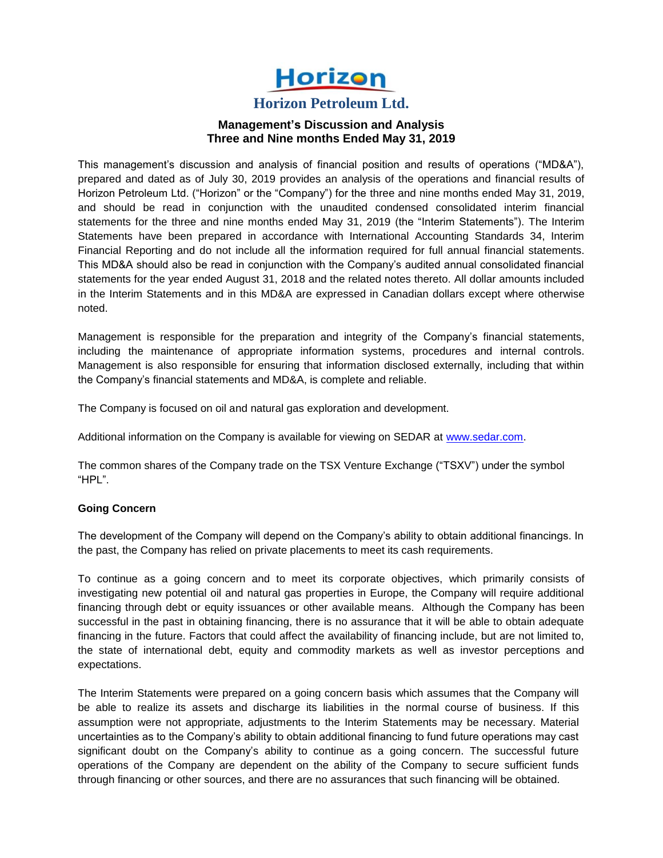

**Horizon Petroleum Ltd.**

# **Management's Discussion and Analysis Three and Nine months Ended May 31, 2019**

This management's discussion and analysis of financial position and results of operations ("MD&A"), prepared and dated as of July 30, 2019 provides an analysis of the operations and financial results of Horizon Petroleum Ltd. ("Horizon" or the "Company") for the three and nine months ended May 31, 2019, and should be read in conjunction with the unaudited condensed consolidated interim financial statements for the three and nine months ended May 31, 2019 (the "Interim Statements"). The Interim Statements have been prepared in accordance with International Accounting Standards 34, Interim Financial Reporting and do not include all the information required for full annual financial statements. This MD&A should also be read in conjunction with the Company's audited annual consolidated financial statements for the year ended August 31, 2018 and the related notes thereto. All dollar amounts included in the Interim Statements and in this MD&A are expressed in Canadian dollars except where otherwise noted.

Management is responsible for the preparation and integrity of the Company's financial statements, including the maintenance of appropriate information systems, procedures and internal controls. Management is also responsible for ensuring that information disclosed externally, including that within the Company's financial statements and MD&A, is complete and reliable.

The Company is focused on oil and natural gas exploration and development.

Additional information on the Company is available for viewing on SEDAR at [www.sedar.com.](http://www.sedar.com/)

The common shares of the Company trade on the TSX Venture Exchange ("TSXV") under the symbol "HPL".

# **Going Concern**

The development of the Company will depend on the Company's ability to obtain additional financings. In the past, the Company has relied on private placements to meet its cash requirements.

To continue as a going concern and to meet its corporate objectives, which primarily consists of investigating new potential oil and natural gas properties in Europe, the Company will require additional financing through debt or equity issuances or other available means. Although the Company has been successful in the past in obtaining financing, there is no assurance that it will be able to obtain adequate financing in the future. Factors that could affect the availability of financing include, but are not limited to, the state of international debt, equity and commodity markets as well as investor perceptions and expectations.

The Interim Statements were prepared on a going concern basis which assumes that the Company will be able to realize its assets and discharge its liabilities in the normal course of business. If this assumption were not appropriate, adjustments to the Interim Statements may be necessary. Material uncertainties as to the Company's ability to obtain additional financing to fund future operations may cast significant doubt on the Company's ability to continue as a going concern. The successful future operations of the Company are dependent on the ability of the Company to secure sufficient funds through financing or other sources, and there are no assurances that such financing will be obtained.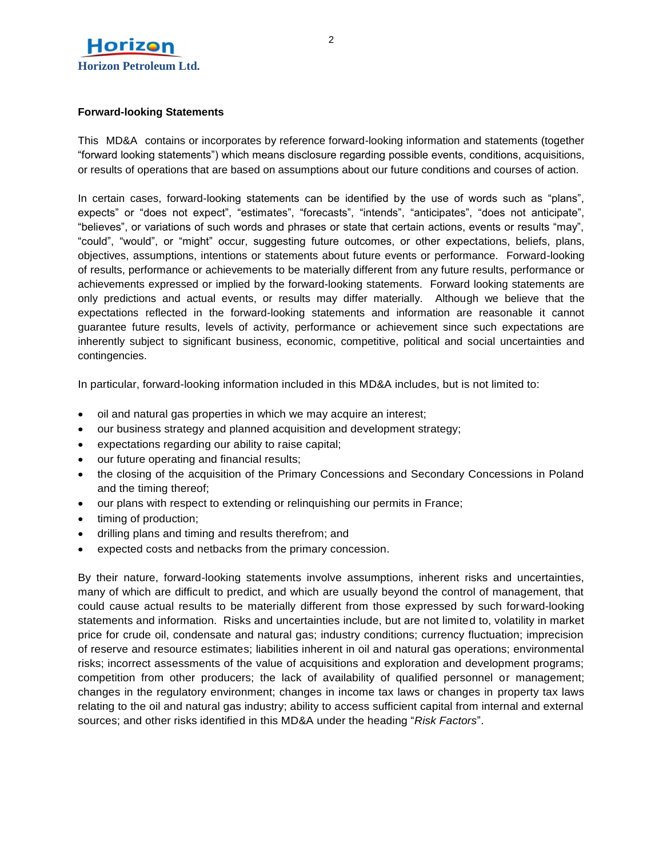

# **Forward-looking Statements**

This MD&A contains or incorporates by reference forward-looking information and statements (together "forward looking statements") which means disclosure regarding possible events, conditions, acquisitions, or results of operations that are based on assumptions about our future conditions and courses of action.

In certain cases, forward-looking statements can be identified by the use of words such as "plans", expects" or "does not expect", "estimates", "forecasts", "intends", "anticipates", "does not anticipate", "believes", or variations of such words and phrases or state that certain actions, events or results "may", "could", "would", or "might" occur, suggesting future outcomes, or other expectations, beliefs, plans, objectives, assumptions, intentions or statements about future events or performance. Forward-looking of results, performance or achievements to be materially different from any future results, performance or achievements expressed or implied by the forward-looking statements. Forward looking statements are only predictions and actual events, or results may differ materially. Although we believe that the expectations reflected in the forward-looking statements and information are reasonable it cannot guarantee future results, levels of activity, performance or achievement since such expectations are inherently subject to significant business, economic, competitive, political and social uncertainties and contingencies.

In particular, forward-looking information included in this MD&A includes, but is not limited to:

- oil and natural gas properties in which we may acquire an interest;
- our business strategy and planned acquisition and development strategy;
- expectations regarding our ability to raise capital;
- our future operating and financial results;
- the closing of the acquisition of the Primary Concessions and Secondary Concessions in Poland and the timing thereof;
- our plans with respect to extending or relinquishing our permits in France;
- timing of production;
- drilling plans and timing and results therefrom; and
- expected costs and netbacks from the primary concession.

By their nature, forward-looking statements involve assumptions, inherent risks and uncertainties, many of which are difficult to predict, and which are usually beyond the control of management, that could cause actual results to be materially different from those expressed by such forward-looking statements and information. Risks and uncertainties include, but are not limited to, volatility in market price for crude oil, condensate and natural gas; industry conditions; currency fluctuation; imprecision of reserve and resource estimates; liabilities inherent in oil and natural gas operations; environmental risks; incorrect assessments of the value of acquisitions and exploration and development programs; competition from other producers; the lack of availability of qualified personnel or management; changes in the regulatory environment; changes in income tax laws or changes in property tax laws relating to the oil and natural gas industry; ability to access sufficient capital from internal and external sources; and other risks identified in this MD&A under the heading "*Risk Factors*".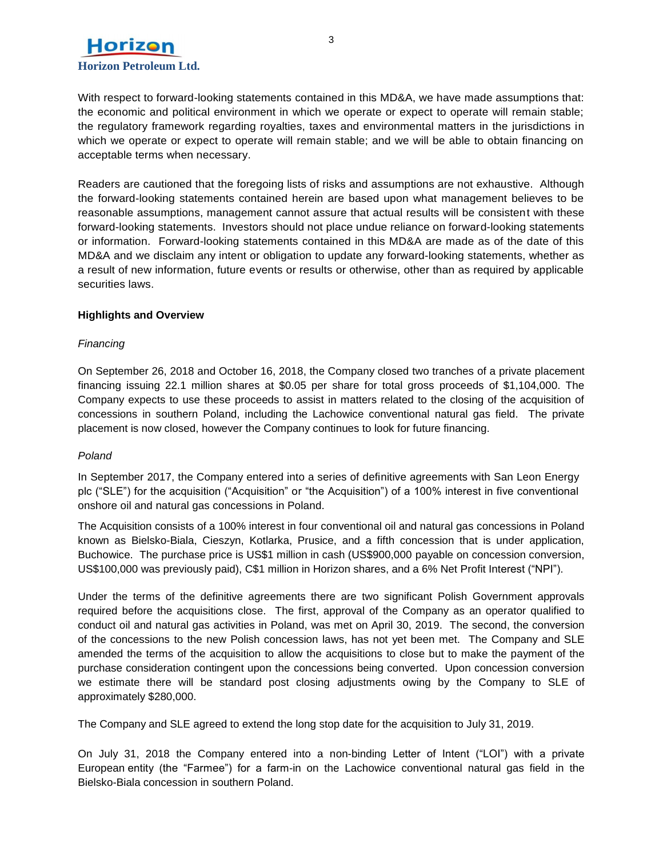

With respect to forward-looking statements contained in this MD&A, we have made assumptions that: the economic and political environment in which we operate or expect to operate will remain stable; the regulatory framework regarding royalties, taxes and environmental matters in the jurisdictions in which we operate or expect to operate will remain stable; and we will be able to obtain financing on acceptable terms when necessary.

Readers are cautioned that the foregoing lists of risks and assumptions are not exhaustive. Although the forward-looking statements contained herein are based upon what management believes to be reasonable assumptions, management cannot assure that actual results will be consistent with these forward-looking statements. Investors should not place undue reliance on forward-looking statements or information. Forward-looking statements contained in this MD&A are made as of the date of this MD&A and we disclaim any intent or obligation to update any forward-looking statements, whether as a result of new information, future events or results or otherwise, other than as required by applicable securities laws.

# **Highlights and Overview**

# *Financing*

On September 26, 2018 and October 16, 2018, the Company closed two tranches of a private placement financing issuing 22.1 million shares at \$0.05 per share for total gross proceeds of \$1,104,000. The Company expects to use these proceeds to assist in matters related to the closing of the acquisition of concessions in southern Poland, including the Lachowice conventional natural gas field. The private placement is now closed, however the Company continues to look for future financing.

# *Poland*

In September 2017, the Company entered into a series of definitive agreements with San Leon Energy plc ("SLE") for the acquisition ("Acquisition" or "the Acquisition") of a 100% interest in five conventional onshore oil and natural gas concessions in Poland.

The Acquisition consists of a 100% interest in four conventional oil and natural gas concessions in Poland known as Bielsko-Biala, Cieszyn, Kotlarka, Prusice, and a fifth concession that is under application, Buchowice. The purchase price is US\$1 million in cash (US\$900,000 payable on concession conversion, US\$100,000 was previously paid), C\$1 million in Horizon shares, and a 6% Net Profit Interest ("NPI").

Under the terms of the definitive agreements there are two significant Polish Government approvals required before the acquisitions close. The first, approval of the Company as an operator qualified to conduct oil and natural gas activities in Poland, was met on April 30, 2019. The second, the conversion of the concessions to the new Polish concession laws, has not yet been met. The Company and SLE amended the terms of the acquisition to allow the acquisitions to close but to make the payment of the purchase consideration contingent upon the concessions being converted. Upon concession conversion we estimate there will be standard post closing adjustments owing by the Company to SLE of approximately \$280,000.

The Company and SLE agreed to extend the long stop date for the acquisition to July 31, 2019.

On July 31, 2018 the Company entered into a non-binding Letter of Intent ("LOI") with a private European entity (the "Farmee") for a farm-in on the Lachowice conventional natural gas field in the Bielsko-Biala concession in southern Poland.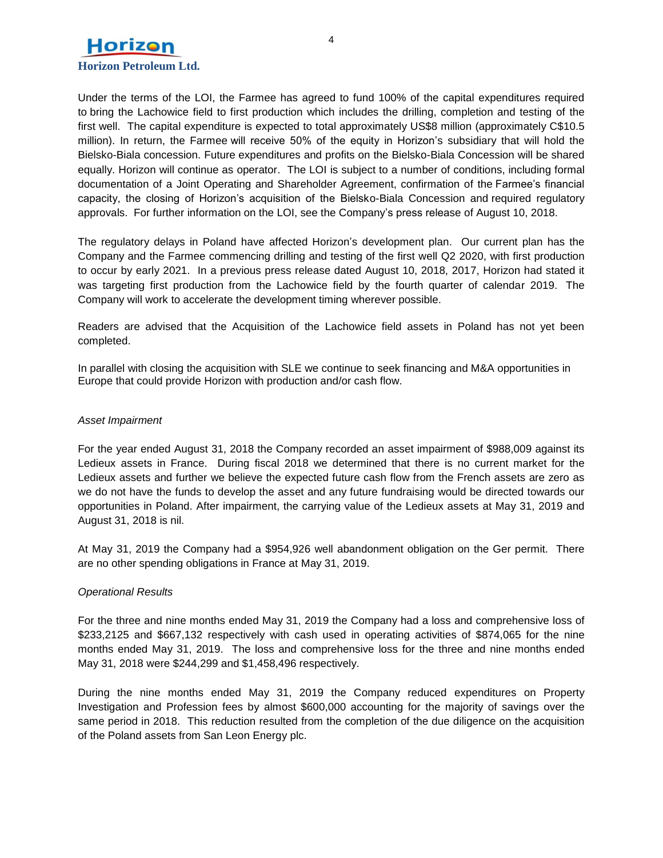

Under the terms of the LOI, the Farmee has agreed to fund 100% of the capital expenditures required to bring the Lachowice field to first production which includes the drilling, completion and testing of the first well. The capital expenditure is expected to total approximately US\$8 million (approximately C\$10.5 million). In return, the Farmee will receive 50% of the equity in Horizon's subsidiary that will hold the Bielsko-Biala concession. Future expenditures and profits on the Bielsko-Biala Concession will be shared equally. Horizon will continue as operator. The LOI is subject to a number of conditions, including formal documentation of a Joint Operating and Shareholder Agreement, confirmation of the Farmee's financial capacity, the closing of Horizon's acquisition of the Bielsko-Biala Concession and required regulatory approvals. For further information on the LOI, see the Company's press release of August 10, 2018.

The regulatory delays in Poland have affected Horizon's development plan. Our current plan has the Company and the Farmee commencing drilling and testing of the first well Q2 2020, with first production to occur by early 2021. In a previous press release dated August 10, 2018, 2017, Horizon had stated it was targeting first production from the Lachowice field by the fourth quarter of calendar 2019. The Company will work to accelerate the development timing wherever possible.

Readers are advised that the Acquisition of the Lachowice field assets in Poland has not yet been completed.

In parallel with closing the acquisition with SLE we continue to seek financing and M&A opportunities in Europe that could provide Horizon with production and/or cash flow.

#### *Asset Impairment*

For the year ended August 31, 2018 the Company recorded an asset impairment of \$988,009 against its Ledieux assets in France. During fiscal 2018 we determined that there is no current market for the Ledieux assets and further we believe the expected future cash flow from the French assets are zero as we do not have the funds to develop the asset and any future fundraising would be directed towards our opportunities in Poland. After impairment, the carrying value of the Ledieux assets at May 31, 2019 and August 31, 2018 is nil.

At May 31, 2019 the Company had a \$954,926 well abandonment obligation on the Ger permit. There are no other spending obligations in France at May 31, 2019.

# *Operational Results*

For the three and nine months ended May 31, 2019 the Company had a loss and comprehensive loss of \$233,2125 and \$667,132 respectively with cash used in operating activities of \$874,065 for the nine months ended May 31, 2019. The loss and comprehensive loss for the three and nine months ended May 31, 2018 were \$244,299 and \$1,458,496 respectively.

During the nine months ended May 31, 2019 the Company reduced expenditures on Property Investigation and Profession fees by almost \$600,000 accounting for the majority of savings over the same period in 2018. This reduction resulted from the completion of the due diligence on the acquisition of the Poland assets from San Leon Energy plc.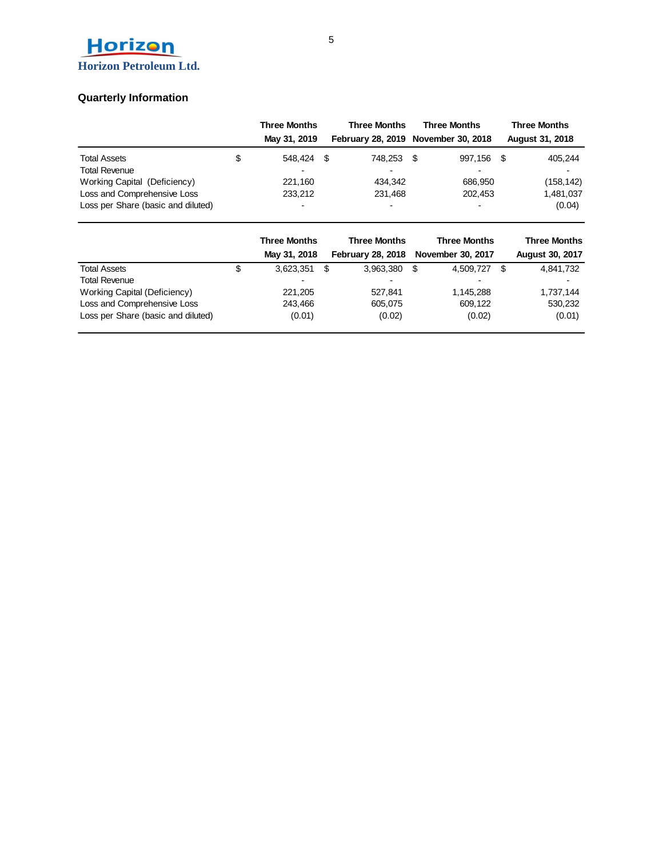

# **Quarterly Information**

|                                    | <b>Three Months</b>      |  | <b>Three Months</b>                 | <b>Three Months</b> |         |      | <b>Three Months</b>    |  |  |
|------------------------------------|--------------------------|--|-------------------------------------|---------------------|---------|------|------------------------|--|--|
|                                    | May 31, 2019             |  | February 28, 2019 November 30, 2018 |                     |         |      | <b>August 31, 2018</b> |  |  |
| <b>Total Assets</b>                | \$<br>548.424            |  | 748.253                             | - \$                | 997.156 | - \$ | 405,244                |  |  |
| <b>Total Revenue</b>               |                          |  |                                     |                     |         |      |                        |  |  |
| Working Capital (Deficiency)       | 221.160                  |  | 434.342                             |                     | 686.950 |      | (158, 142)             |  |  |
| Loss and Comprehensive Loss        | 233,212                  |  | 231,468                             |                     | 202,453 |      | 1,481,037              |  |  |
| Loss per Share (basic and diluted) | $\overline{\phantom{0}}$ |  | -                                   |                     |         |      | (0.04)                 |  |  |

|                                    |   | <b>Three Months</b><br>May 31, 2018 |     | <b>Three Months</b><br><b>February 28, 2018</b> |      | <b>Three Months</b><br>November 30, 2017 | <b>Three Months</b><br><b>August 30, 2017</b> |
|------------------------------------|---|-------------------------------------|-----|-------------------------------------------------|------|------------------------------------------|-----------------------------------------------|
| <b>Total Assets</b>                | Φ | 3.623.351                           | -\$ | 3.963.380                                       | - \$ | 4,509,727                                | 4,841,732                                     |
| <b>Total Revenue</b>               |   | $\overline{\phantom{a}}$            |     |                                                 |      |                                          | ۰                                             |
| Working Capital (Deficiency)       |   | 221.205                             |     | 527.841                                         |      | 1.145.288                                | 1,737,144                                     |
| Loss and Comprehensive Loss        |   | 243.466                             |     | 605.075                                         |      | 609.122                                  | 530,232                                       |
| Loss per Share (basic and diluted) |   | (0.01)                              |     | (0.02)                                          |      | (0.02)                                   | (0.01)                                        |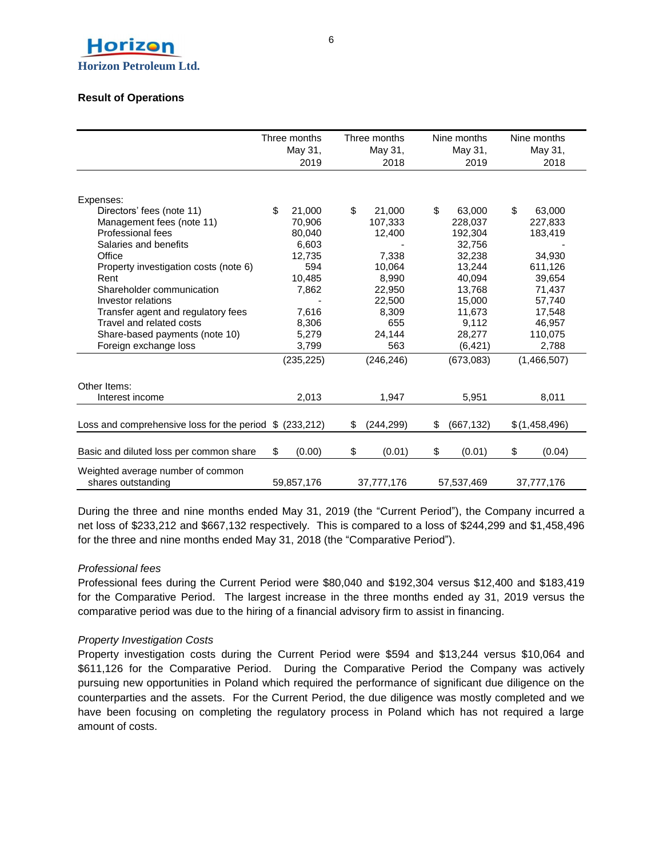

# **Result of Operations**

|    | May 31,    |                                                                                                | May 31,    |                                                  | May 31,   | Nine months<br>May 31,                          |               |
|----|------------|------------------------------------------------------------------------------------------------|------------|--------------------------------------------------|-----------|-------------------------------------------------|---------------|
|    |            |                                                                                                |            |                                                  |           |                                                 | 2018          |
|    |            |                                                                                                |            |                                                  |           |                                                 |               |
|    |            |                                                                                                |            |                                                  |           |                                                 |               |
| \$ | 21.000     | \$                                                                                             | 21.000     | \$                                               | 63.000    | \$                                              | 63.000        |
|    | 70,906     |                                                                                                | 107,333    |                                                  | 228,037   |                                                 | 227,833       |
|    | 80.040     |                                                                                                | 12,400     |                                                  | 192,304   |                                                 | 183,419       |
|    | 6,603      |                                                                                                |            |                                                  | 32,756    |                                                 |               |
|    | 12,735     |                                                                                                | 7,338      |                                                  | 32,238    |                                                 | 34,930        |
|    | 594        |                                                                                                | 10,064     |                                                  | 13,244    |                                                 | 611,126       |
|    | 10,485     |                                                                                                | 8,990      |                                                  | 40,094    |                                                 | 39,654        |
|    | 7,862      |                                                                                                | 22,950     |                                                  | 13.768    |                                                 | 71,437        |
|    |            |                                                                                                | 22,500     |                                                  | 15,000    |                                                 | 57,740        |
|    | 7,616      |                                                                                                | 8.309      |                                                  | 11,673    |                                                 | 17,548        |
|    | 8,306      |                                                                                                | 655        |                                                  | 9,112     |                                                 | 46,957        |
|    | 5,279      |                                                                                                | 24,144     |                                                  | 28,277    |                                                 | 110,075       |
|    | 3,799      |                                                                                                | 563        |                                                  | (6, 421)  |                                                 | 2,788         |
|    | (235, 225) |                                                                                                | (246, 246) |                                                  | (673,083) |                                                 | (1,466,507)   |
|    |            |                                                                                                |            |                                                  |           |                                                 |               |
|    | 2,013      |                                                                                                | 1,947      |                                                  | 5,951     |                                                 | 8,011         |
|    |            |                                                                                                |            |                                                  |           |                                                 |               |
|    |            |                                                                                                |            |                                                  |           |                                                 | \$(1,458,496) |
|    |            |                                                                                                |            |                                                  |           |                                                 |               |
|    | (0.00)     | \$                                                                                             | (0.01)     |                                                  | (0.01)    |                                                 | (0.04)        |
|    |            |                                                                                                |            |                                                  |           |                                                 | 37,777,176    |
|    | \$         | Three months<br>2019<br>Loss and comprehensive loss for the period $$$ (233,212)<br>59,857,176 | \$         | Three months<br>2018<br>(244, 299)<br>37,777,176 | \$<br>\$  | Nine months<br>2019<br>(667, 132)<br>57,537,469 | \$            |

During the three and nine months ended May 31, 2019 (the "Current Period"), the Company incurred a net loss of \$233,212 and \$667,132 respectively. This is compared to a loss of \$244,299 and \$1,458,496 for the three and nine months ended May 31, 2018 (the "Comparative Period").

# *Professional fees*

Professional fees during the Current Period were \$80,040 and \$192,304 versus \$12,400 and \$183,419 for the Comparative Period. The largest increase in the three months ended ay 31, 2019 versus the comparative period was due to the hiring of a financial advisory firm to assist in financing.

# *Property Investigation Costs*

Property investigation costs during the Current Period were \$594 and \$13,244 versus \$10,064 and \$611,126 for the Comparative Period. During the Comparative Period the Company was actively pursuing new opportunities in Poland which required the performance of significant due diligence on the counterparties and the assets. For the Current Period, the due diligence was mostly completed and we have been focusing on completing the regulatory process in Poland which has not required a large amount of costs.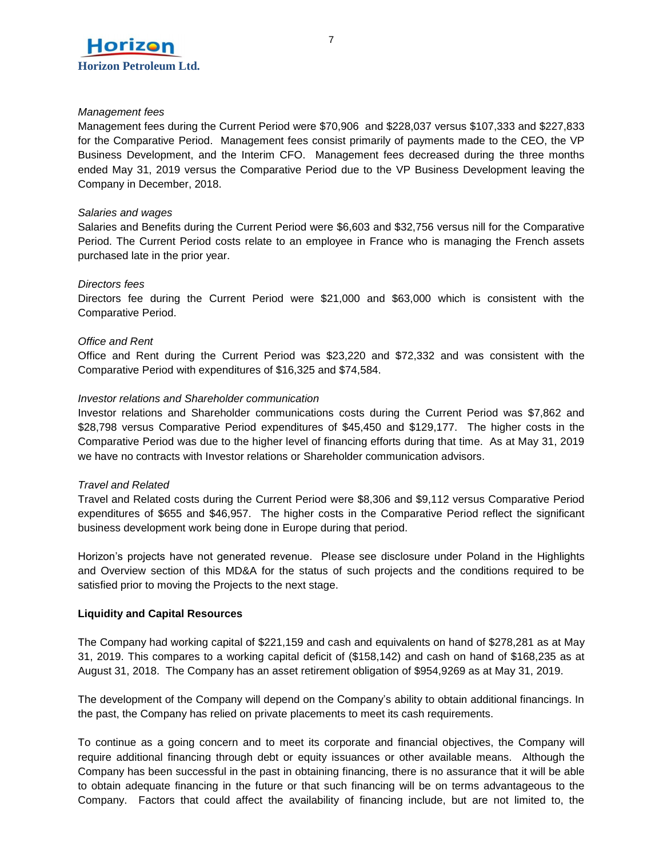

### *Management fees*

Management fees during the Current Period were \$70,906 and \$228,037 versus \$107,333 and \$227,833 for the Comparative Period. Management fees consist primarily of payments made to the CEO, the VP Business Development, and the Interim CFO. Management fees decreased during the three months ended May 31, 2019 versus the Comparative Period due to the VP Business Development leaving the Company in December, 2018.

### *Salaries and wages*

Salaries and Benefits during the Current Period were \$6,603 and \$32,756 versus nill for the Comparative Period. The Current Period costs relate to an employee in France who is managing the French assets purchased late in the prior year.

#### *Directors fees*

Directors fee during the Current Period were \$21,000 and \$63,000 which is consistent with the Comparative Period.

#### *Office and Rent*

Office and Rent during the Current Period was \$23,220 and \$72,332 and was consistent with the Comparative Period with expenditures of \$16,325 and \$74,584.

# *Investor relations and Shareholder communication*

Investor relations and Shareholder communications costs during the Current Period was \$7,862 and \$28,798 versus Comparative Period expenditures of \$45,450 and \$129,177. The higher costs in the Comparative Period was due to the higher level of financing efforts during that time. As at May 31, 2019 we have no contracts with Investor relations or Shareholder communication advisors.

# *Travel and Related*

Travel and Related costs during the Current Period were \$8,306 and \$9,112 versus Comparative Period expenditures of \$655 and \$46,957. The higher costs in the Comparative Period reflect the significant business development work being done in Europe during that period.

Horizon's projects have not generated revenue. Please see disclosure under Poland in the Highlights and Overview section of this MD&A for the status of such projects and the conditions required to be satisfied prior to moving the Projects to the next stage.

# **Liquidity and Capital Resources**

The Company had working capital of \$221,159 and cash and equivalents on hand of \$278,281 as at May 31, 2019. This compares to a working capital deficit of (\$158,142) and cash on hand of \$168,235 as at August 31, 2018. The Company has an asset retirement obligation of \$954,9269 as at May 31, 2019.

The development of the Company will depend on the Company's ability to obtain additional financings. In the past, the Company has relied on private placements to meet its cash requirements.

To continue as a going concern and to meet its corporate and financial objectives, the Company will require additional financing through debt or equity issuances or other available means. Although the Company has been successful in the past in obtaining financing, there is no assurance that it will be able to obtain adequate financing in the future or that such financing will be on terms advantageous to the Company. Factors that could affect the availability of financing include, but are not limited to, the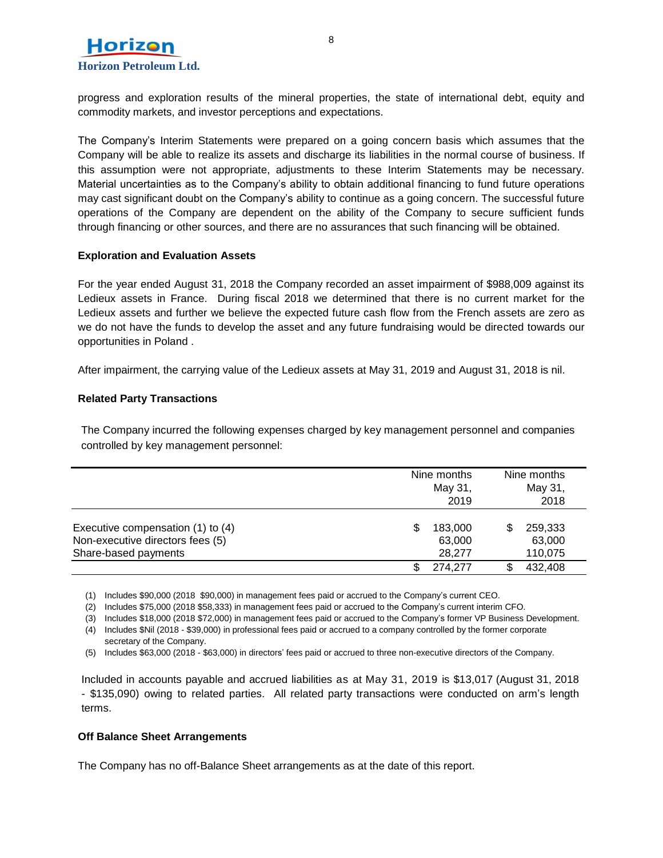

progress and exploration results of the mineral properties, the state of international debt, equity and commodity markets, and investor perceptions and expectations.

The Company's Interim Statements were prepared on a going concern basis which assumes that the Company will be able to realize its assets and discharge its liabilities in the normal course of business. If this assumption were not appropriate, adjustments to these Interim Statements may be necessary. Material uncertainties as to the Company's ability to obtain additional financing to fund future operations may cast significant doubt on the Company's ability to continue as a going concern. The successful future operations of the Company are dependent on the ability of the Company to secure sufficient funds through financing or other sources, and there are no assurances that such financing will be obtained.

#### **Exploration and Evaluation Assets**

For the year ended August 31, 2018 the Company recorded an asset impairment of \$988,009 against its Ledieux assets in France. During fiscal 2018 we determined that there is no current market for the Ledieux assets and further we believe the expected future cash flow from the French assets are zero as we do not have the funds to develop the asset and any future fundraising would be directed towards our opportunities in Poland .

After impairment, the carrying value of the Ledieux assets at May 31, 2019 and August 31, 2018 is nil.

# **Related Party Transactions**

The Company incurred the following expenses charged by key management personnel and companies controlled by key management personnel:

|                                                                                               | Nine months<br>May 31,<br>2019   | Nine months<br>May 31,<br>2018 |
|-----------------------------------------------------------------------------------------------|----------------------------------|--------------------------------|
| Executive compensation (1) to (4)<br>Non-executive directors fees (5)<br>Share-based payments | S<br>183,000<br>63,000<br>28,277 | 259,333<br>63,000<br>110,075   |
|                                                                                               | S<br>274.277                     | 432,408                        |

(1) Includes \$90,000 (2018 \$90,000) in management fees paid or accrued to the Company's current CEO.

(2) Includes \$75,000 (2018 \$58,333) in management fees paid or accrued to the Company's current interim CFO.

(3) Includes \$18,000 (2018 \$72,000) in management fees paid or accrued to the Company's former VP Business Development.

(4) Includes \$Nil (2018 - \$39,000) in professional fees paid or accrued to a company controlled by the former corporate secretary of the Company.

(5) Includes \$63,000 (2018 - \$63,000) in directors' fees paid or accrued to three non-executive directors of the Company.

Included in accounts payable and accrued liabilities as at May 31, 2019 is \$13,017 (August 31, 2018 - \$135,090) owing to related parties. All related party transactions were conducted on arm's length terms.

#### **Off Balance Sheet Arrangements**

The Company has no off-Balance Sheet arrangements as at the date of this report.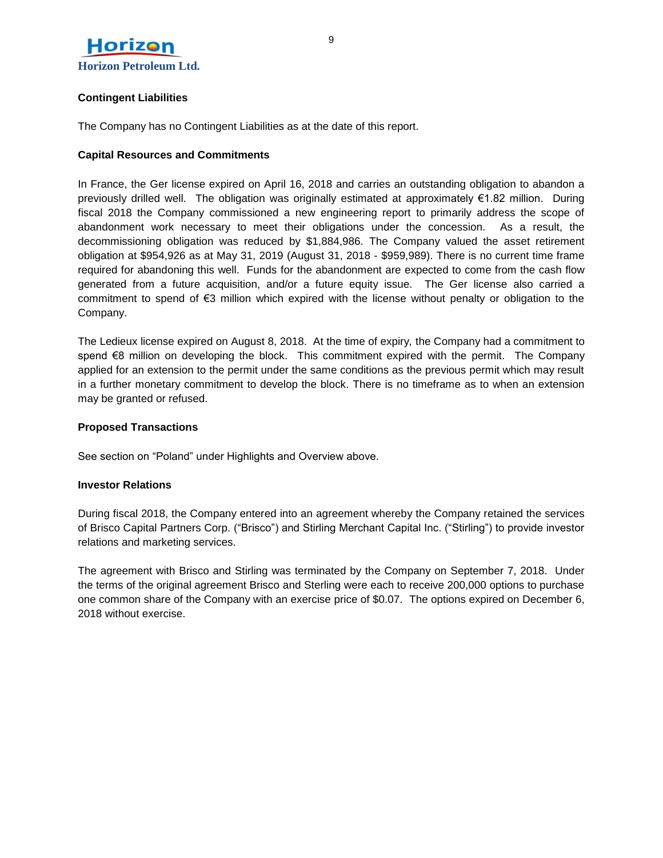

# **Contingent Liabilities**

The Company has no Contingent Liabilities as at the date of this report.

# **Capital Resources and Commitments**

In France, the Ger license expired on April 16, 2018 and carries an outstanding obligation to abandon a previously drilled well. The obligation was originally estimated at approximately €1.82 million. During fiscal 2018 the Company commissioned a new engineering report to primarily address the scope of abandonment work necessary to meet their obligations under the concession. As a result, the decommissioning obligation was reduced by \$1,884,986. The Company valued the asset retirement obligation at \$954,926 as at May 31, 2019 (August 31, 2018 - \$959,989). There is no current time frame required for abandoning this well. Funds for the abandonment are expected to come from the cash flow generated from a future acquisition, and/or a future equity issue. The Ger license also carried a commitment to spend of €3 million which expired with the license without penalty or obligation to the Company.

The Ledieux license expired on August 8, 2018. At the time of expiry, the Company had a commitment to spend €8 million on developing the block. This commitment expired with the permit. The Company applied for an extension to the permit under the same conditions as the previous permit which may result in a further monetary commitment to develop the block. There is no timeframe as to when an extension may be granted or refused.

# **Proposed Transactions**

See section on "Poland" under Highlights and Overview above.

# **Investor Relations**

During fiscal 2018, the Company entered into an agreement whereby the Company retained the services of Brisco Capital Partners Corp. ("Brisco") and Stirling Merchant Capital Inc. ("Stirling") to provide investor relations and marketing services.

The agreement with Brisco and Stirling was terminated by the Company on September 7, 2018. Under the terms of the original agreement Brisco and Sterling were each to receive 200,000 options to purchase one common share of the Company with an exercise price of \$0.07. The options expired on December 6, 2018 without exercise.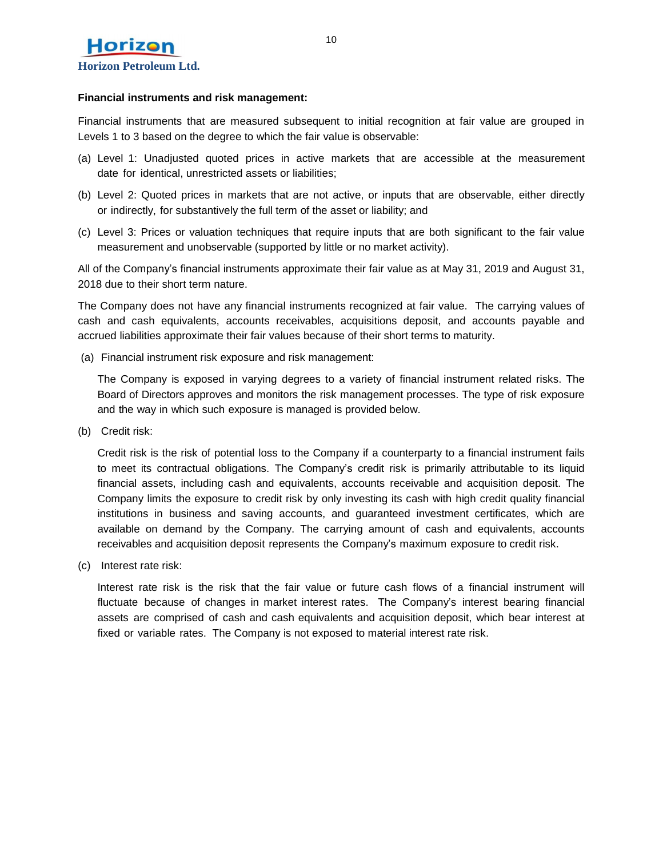

#### **Financial instruments and risk management:**

Financial instruments that are measured subsequent to initial recognition at fair value are grouped in Levels 1 to 3 based on the degree to which the fair value is observable:

- (a) Level 1: Unadjusted quoted prices in active markets that are accessible at the measurement date for identical, unrestricted assets or liabilities;
- (b) Level 2: Quoted prices in markets that are not active, or inputs that are observable, either directly or indirectly, for substantively the full term of the asset or liability; and
- (c) Level 3: Prices or valuation techniques that require inputs that are both significant to the fair value measurement and unobservable (supported by little or no market activity).

All of the Company's financial instruments approximate their fair value as at May 31, 2019 and August 31, 2018 due to their short term nature.

The Company does not have any financial instruments recognized at fair value. The carrying values of cash and cash equivalents, accounts receivables, acquisitions deposit, and accounts payable and accrued liabilities approximate their fair values because of their short terms to maturity.

(a) Financial instrument risk exposure and risk management:

The Company is exposed in varying degrees to a variety of financial instrument related risks. The Board of Directors approves and monitors the risk management processes. The type of risk exposure and the way in which such exposure is managed is provided below.

(b) Credit risk:

Credit risk is the risk of potential loss to the Company if a counterparty to a financial instrument fails to meet its contractual obligations. The Company's credit risk is primarily attributable to its liquid financial assets, including cash and equivalents, accounts receivable and acquisition deposit. The Company limits the exposure to credit risk by only investing its cash with high credit quality financial institutions in business and saving accounts, and guaranteed investment certificates, which are available on demand by the Company. The carrying amount of cash and equivalents, accounts receivables and acquisition deposit represents the Company's maximum exposure to credit risk.

(c) Interest rate risk:

Interest rate risk is the risk that the fair value or future cash flows of a financial instrument will fluctuate because of changes in market interest rates. The Company's interest bearing financial assets are comprised of cash and cash equivalents and acquisition deposit, which bear interest at fixed or variable rates. The Company is not exposed to material interest rate risk.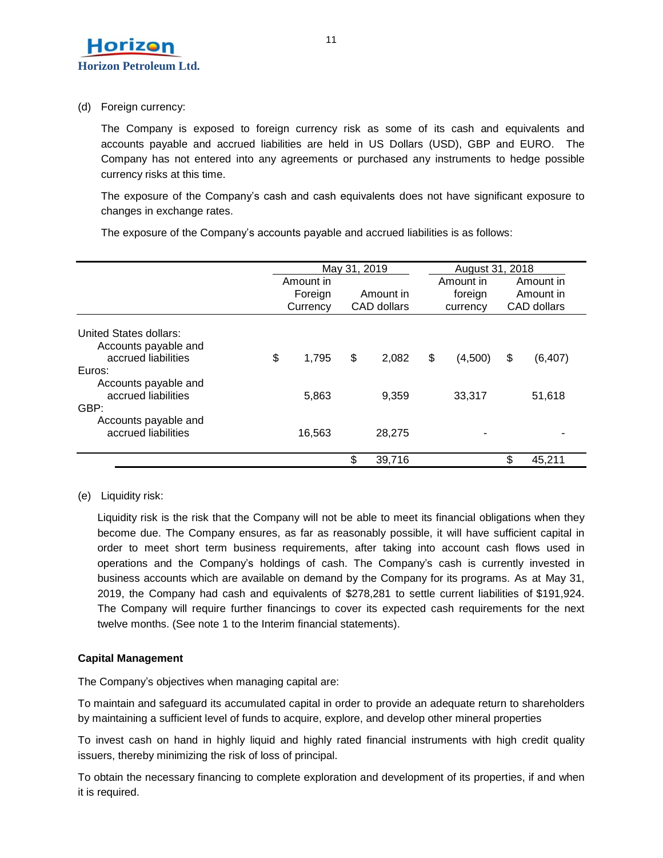

(d) Foreign currency:

The Company is exposed to foreign currency risk as some of its cash and equivalents and accounts payable and accrued liabilities are held in US Dollars (USD), GBP and EURO. The Company has not entered into any agreements or purchased any instruments to hedge possible currency risks at this time.

The exposure of the Company's cash and cash equivalents does not have significant exposure to changes in exchange rates.

|                                                                       | May 31, 2019                     |    |                          |    | August 31, 2018                  |    |                                       |  |
|-----------------------------------------------------------------------|----------------------------------|----|--------------------------|----|----------------------------------|----|---------------------------------------|--|
|                                                                       | Amount in<br>Foreign<br>Currency |    | Amount in<br>CAD dollars |    | Amount in<br>foreign<br>currency |    | Amount in<br>Amount in<br>CAD dollars |  |
| United States dollars:<br>Accounts payable and<br>accrued liabilities | \$<br>1.795                      |    | 2,082                    | \$ |                                  |    |                                       |  |
| Euros:<br>Accounts payable and                                        |                                  | \$ |                          |    | (4,500)                          | \$ | (6, 407)                              |  |
| accrued liabilities<br>GBP:                                           | 5,863                            |    | 9,359                    |    | 33,317                           |    | 51,618                                |  |
| Accounts payable and<br>accrued liabilities                           | 16,563                           |    | 28,275                   |    |                                  |    |                                       |  |
|                                                                       |                                  | \$ | 39,716                   |    |                                  |    | 45.211                                |  |

The exposure of the Company's accounts payable and accrued liabilities is as follows:

(e) Liquidity risk:

Liquidity risk is the risk that the Company will not be able to meet its financial obligations when they become due. The Company ensures, as far as reasonably possible, it will have sufficient capital in order to meet short term business requirements, after taking into account cash flows used in operations and the Company's holdings of cash. The Company's cash is currently invested in business accounts which are available on demand by the Company for its programs. As at May 31, 2019, the Company had cash and equivalents of \$278,281 to settle current liabilities of \$191,924. The Company will require further financings to cover its expected cash requirements for the next twelve months. (See note 1 to the Interim financial statements).

# **Capital Management**

The Company's objectives when managing capital are:

To maintain and safeguard its accumulated capital in order to provide an adequate return to shareholders by maintaining a sufficient level of funds to acquire, explore, and develop other mineral properties

To invest cash on hand in highly liquid and highly rated financial instruments with high credit quality issuers, thereby minimizing the risk of loss of principal.

To obtain the necessary financing to complete exploration and development of its properties, if and when it is required.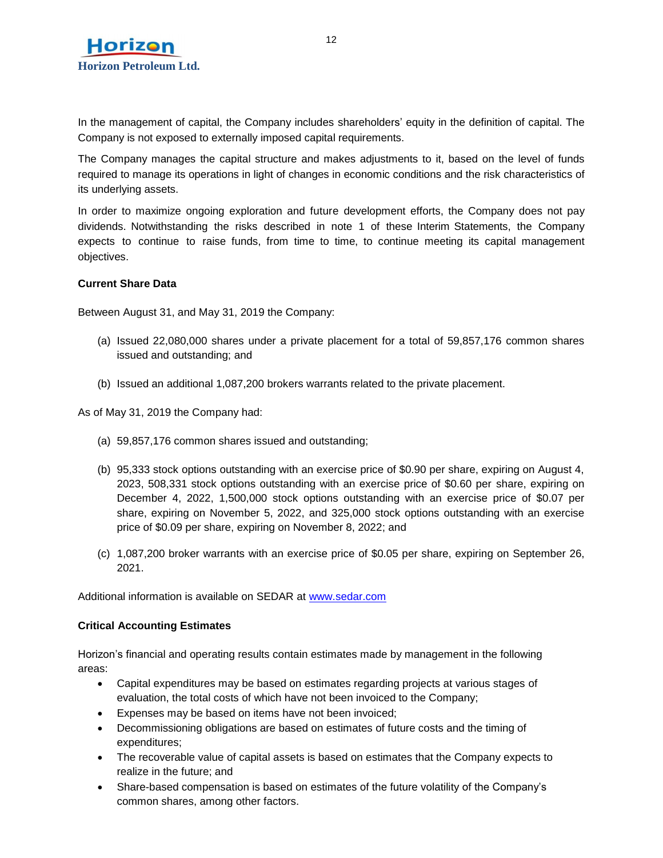

In the management of capital, the Company includes shareholders' equity in the definition of capital. The Company is not exposed to externally imposed capital requirements.

The Company manages the capital structure and makes adjustments to it, based on the level of funds required to manage its operations in light of changes in economic conditions and the risk characteristics of its underlying assets.

In order to maximize ongoing exploration and future development efforts, the Company does not pay dividends. Notwithstanding the risks described in note 1 of these Interim Statements, the Company expects to continue to raise funds, from time to time, to continue meeting its capital management objectives.

# **Current Share Data**

Between August 31, and May 31, 2019 the Company:

- (a) Issued 22,080,000 shares under a private placement for a total of 59,857,176 common shares issued and outstanding; and
- (b) Issued an additional 1,087,200 brokers warrants related to the private placement.

As of May 31, 2019 the Company had:

- (a) 59,857,176 common shares issued and outstanding;
- (b) 95,333 stock options outstanding with an exercise price of \$0.90 per share, expiring on August 4, 2023, 508,331 stock options outstanding with an exercise price of \$0.60 per share, expiring on December 4, 2022, 1,500,000 stock options outstanding with an exercise price of \$0.07 per share, expiring on November 5, 2022, and 325,000 stock options outstanding with an exercise price of \$0.09 per share, expiring on November 8, 2022; and
- (c) 1,087,200 broker warrants with an exercise price of \$0.05 per share, expiring on September 26, 2021.

Additional information is available on SEDAR at [www.sedar.com](http://www.sedar.com/)

# **Critical Accounting Estimates**

Horizon's financial and operating results contain estimates made by management in the following areas:

- Capital expenditures may be based on estimates regarding projects at various stages of evaluation, the total costs of which have not been invoiced to the Company;
- Expenses may be based on items have not been invoiced;
- Decommissioning obligations are based on estimates of future costs and the timing of expenditures;
- The recoverable value of capital assets is based on estimates that the Company expects to realize in the future; and
- Share-based compensation is based on estimates of the future volatility of the Company's common shares, among other factors.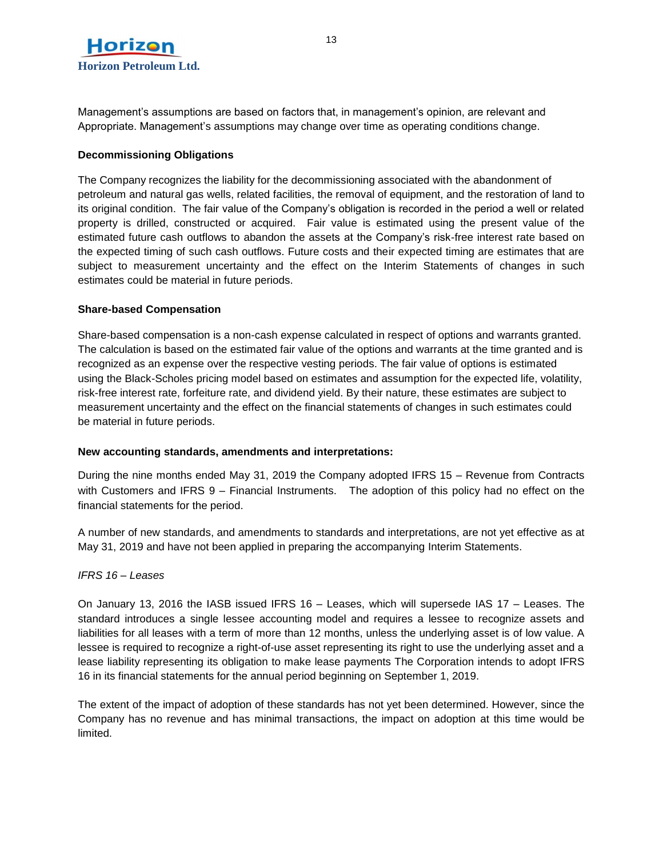

Management's assumptions are based on factors that, in management's opinion, are relevant and Appropriate. Management's assumptions may change over time as operating conditions change.

# **Decommissioning Obligations**

The Company recognizes the liability for the decommissioning associated with the abandonment of petroleum and natural gas wells, related facilities, the removal of equipment, and the restoration of land to its original condition. The fair value of the Company's obligation is recorded in the period a well or related property is drilled, constructed or acquired. Fair value is estimated using the present value of the estimated future cash outflows to abandon the assets at the Company's risk-free interest rate based on the expected timing of such cash outflows. Future costs and their expected timing are estimates that are subject to measurement uncertainty and the effect on the Interim Statements of changes in such estimates could be material in future periods.

#### **Share-based Compensation**

Share-based compensation is a non-cash expense calculated in respect of options and warrants granted. The calculation is based on the estimated fair value of the options and warrants at the time granted and is recognized as an expense over the respective vesting periods. The fair value of options is estimated using the Black-Scholes pricing model based on estimates and assumption for the expected life, volatility, risk-free interest rate, forfeiture rate, and dividend yield. By their nature, these estimates are subject to measurement uncertainty and the effect on the financial statements of changes in such estimates could be material in future periods.

# **New accounting standards, amendments and interpretations:**

During the nine months ended May 31, 2019 the Company adopted IFRS 15 – Revenue from Contracts with Customers and IFRS 9 – Financial Instruments. The adoption of this policy had no effect on the financial statements for the period.

A number of new standards, and amendments to standards and interpretations, are not yet effective as at May 31, 2019 and have not been applied in preparing the accompanying Interim Statements.

# *IFRS 16 – Leases*

On January 13, 2016 the IASB issued IFRS 16 – Leases, which will supersede IAS 17 – Leases. The standard introduces a single lessee accounting model and requires a lessee to recognize assets and liabilities for all leases with a term of more than 12 months, unless the underlying asset is of low value. A lessee is required to recognize a right-of-use asset representing its right to use the underlying asset and a lease liability representing its obligation to make lease payments The Corporation intends to adopt IFRS 16 in its financial statements for the annual period beginning on September 1, 2019.

The extent of the impact of adoption of these standards has not yet been determined. However, since the Company has no revenue and has minimal transactions, the impact on adoption at this time would be limited.